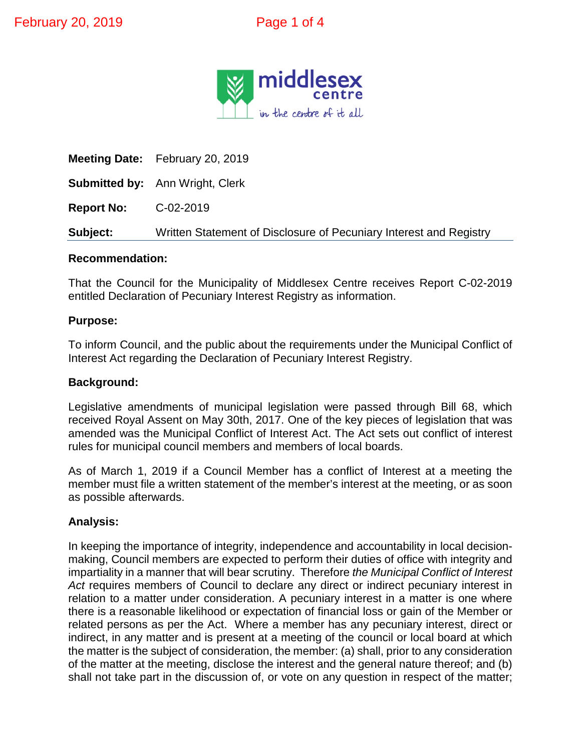

**Meeting Date:** February 20, 2019 **Submitted by:** Ann Wright, Clerk **Report No:** C-02-2019 **Subject:** Written Statement of Disclosure of Pecuniary Interest and Registry

#### **Recommendation:**

That the Council for the Municipality of Middlesex Centre receives Report C-02-2019 entitled Declaration of Pecuniary Interest Registry as information.

### **Purpose:**

To inform Council, and the public about the requirements under the Municipal Conflict of Interest Act regarding the Declaration of Pecuniary Interest Registry.

#### **Background:**

Legislative amendments of municipal legislation were passed through Bill 68, which received Royal Assent on May 30th, 2017. One of the key pieces of legislation that was amended was the Municipal Conflict of Interest Act. The Act sets out conflict of interest rules for municipal council members and members of local boards.

As of March 1, 2019 if a Council Member has a conflict of Interest at a meeting the member must file a written statement of the member's interest at the meeting, or as soon as possible afterwards.

# **Analysis:**

In keeping the importance of integrity, independence and accountability in local decisionmaking, Council members are expected to perform their duties of office with integrity and impartiality in a manner that will bear scrutiny. Therefore *the Municipal Conflict of Interest Act* requires members of Council to declare any direct or indirect pecuniary interest in relation to a matter under consideration. A pecuniary interest in a matter is one where there is a reasonable likelihood or expectation of financial loss or gain of the Member or related persons as per the Act. Where a member has any pecuniary interest, direct or indirect, in any matter and is present at a meeting of the council or local board at which the matter is the subject of consideration, the member: (a) shall, prior to any consideration of the matter at the meeting, disclose the interest and the general nature thereof; and (b) shall not take part in the discussion of, or vote on any question in respect of the matter;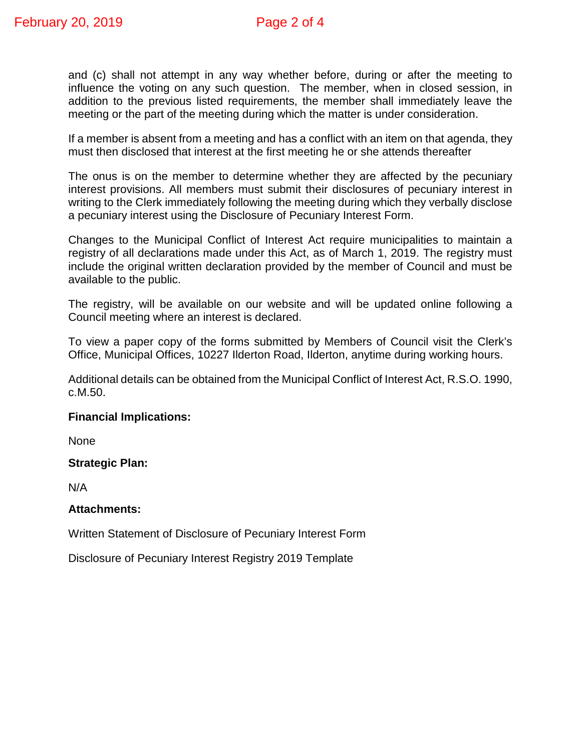and (c) shall not attempt in any way whether before, during or after the meeting to influence the voting on any such question. The member, when in closed session, in addition to the previous listed requirements, the member shall immediately leave the meeting or the part of the meeting during which the matter is under consideration.

If a member is absent from a meeting and has a conflict with an item on that agenda, they must then disclosed that interest at the first meeting he or she attends thereafter

The onus is on the member to determine whether they are affected by the pecuniary interest provisions. All members must submit their disclosures of pecuniary interest in writing to the Clerk immediately following the meeting during which they verbally disclose a pecuniary interest using the Disclosure of Pecuniary Interest Form.

Changes to the Municipal Conflict of Interest Act require municipalities to maintain a registry of all declarations made under this Act, as of March 1, 2019. The registry must include the original written declaration provided by the member of Council and must be available to the public.

The registry, will be available on our website and will be updated online following a Council meeting where an interest is declared.

To view a paper copy of the forms submitted by Members of Council visit the Clerk's Office, Municipal Offices, 10227 Ilderton Road, Ilderton, anytime during working hours.

Additional details can be obtained from the Municipal Conflict of Interest Act, R.S.O. 1990, c.M.50.

# **Financial Implications:**

None

# **Strategic Plan:**

N/A

#### **Attachments:**

Written Statement of Disclosure of Pecuniary Interest Form

Disclosure of Pecuniary Interest Registry 2019 Template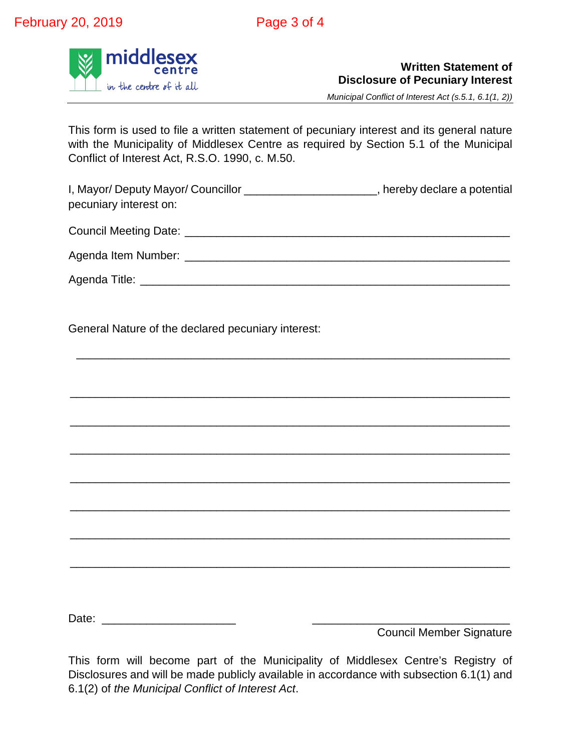

# **Written Statement of Disclosure of Pecuniary Interest**

*Municipal Conflict of Interest Act (s.5.1, 6.1(1, 2))*

This form is used to file a written statement of pecuniary interest and its general nature with the Municipality of Middlesex Centre as required by Section 5.1 of the Municipal Conflict of Interest Act, R.S.O. 1990, c. M.50.

I, Mayor/ Deputy Mayor/ Councillor \_\_\_\_\_\_\_\_\_\_\_\_\_\_\_\_\_\_\_\_\_, hereby declare a potential pecuniary interest on:

Council Meeting Date: \_\_\_\_\_\_\_\_\_\_\_\_\_\_\_\_\_\_\_\_\_\_\_\_\_\_\_\_\_\_\_\_\_\_\_\_\_\_\_\_\_\_\_\_\_\_\_\_\_\_\_

Agenda Item Number: \_\_\_\_\_\_\_\_\_\_\_\_\_\_\_\_\_\_\_\_\_\_\_\_\_\_\_\_\_\_\_\_\_\_\_\_\_\_\_\_\_\_\_\_\_\_\_\_\_\_\_

\_\_\_\_\_\_\_\_\_\_\_\_\_\_\_\_\_\_\_\_\_\_\_\_\_\_\_\_\_\_\_\_\_\_\_\_\_\_\_\_\_\_\_\_\_\_\_\_\_\_\_\_\_\_\_\_\_\_\_\_\_\_\_\_\_\_\_\_

\_\_\_\_\_\_\_\_\_\_\_\_\_\_\_\_\_\_\_\_\_\_\_\_\_\_\_\_\_\_\_\_\_\_\_\_\_\_\_\_\_\_\_\_\_\_\_\_\_\_\_\_\_\_\_\_\_\_\_\_\_\_\_\_\_\_\_\_\_

\_\_\_\_\_\_\_\_\_\_\_\_\_\_\_\_\_\_\_\_\_\_\_\_\_\_\_\_\_\_\_\_\_\_\_\_\_\_\_\_\_\_\_\_\_\_\_\_\_\_\_\_\_\_\_\_\_\_\_\_\_\_\_\_\_\_\_\_\_

\_\_\_\_\_\_\_\_\_\_\_\_\_\_\_\_\_\_\_\_\_\_\_\_\_\_\_\_\_\_\_\_\_\_\_\_\_\_\_\_\_\_\_\_\_\_\_\_\_\_\_\_\_\_\_\_\_\_\_\_\_\_\_\_\_\_\_\_\_

\_\_\_\_\_\_\_\_\_\_\_\_\_\_\_\_\_\_\_\_\_\_\_\_\_\_\_\_\_\_\_\_\_\_\_\_\_\_\_\_\_\_\_\_\_\_\_\_\_\_\_\_\_\_\_\_\_\_\_\_\_\_\_\_\_\_\_\_\_

\_\_\_\_\_\_\_\_\_\_\_\_\_\_\_\_\_\_\_\_\_\_\_\_\_\_\_\_\_\_\_\_\_\_\_\_\_\_\_\_\_\_\_\_\_\_\_\_\_\_\_\_\_\_\_\_\_\_\_\_\_\_\_\_\_\_\_\_\_

\_\_\_\_\_\_\_\_\_\_\_\_\_\_\_\_\_\_\_\_\_\_\_\_\_\_\_\_\_\_\_\_\_\_\_\_\_\_\_\_\_\_\_\_\_\_\_\_\_\_\_\_\_\_\_\_\_\_\_\_\_\_\_\_\_\_\_\_\_

\_\_\_\_\_\_\_\_\_\_\_\_\_\_\_\_\_\_\_\_\_\_\_\_\_\_\_\_\_\_\_\_\_\_\_\_\_\_\_\_\_\_\_\_\_\_\_\_\_\_\_\_\_\_\_\_\_\_\_\_\_\_\_\_\_\_\_\_\_

Agenda Title: **Example 2018** 

General Nature of the declared pecuniary interest:

Date: \_\_\_\_\_\_\_\_\_\_\_\_\_\_\_\_\_\_\_\_\_ \_\_\_\_\_\_\_\_\_\_\_\_\_\_\_\_\_\_\_\_\_\_\_\_\_\_\_\_\_\_\_

Council Member Signature

This form will become part of the Municipality of Middlesex Centre's Registry of Disclosures and will be made publicly available in accordance with subsection 6.1(1) and 6.1(2) of *the Municipal Conflict of Interest Act*.